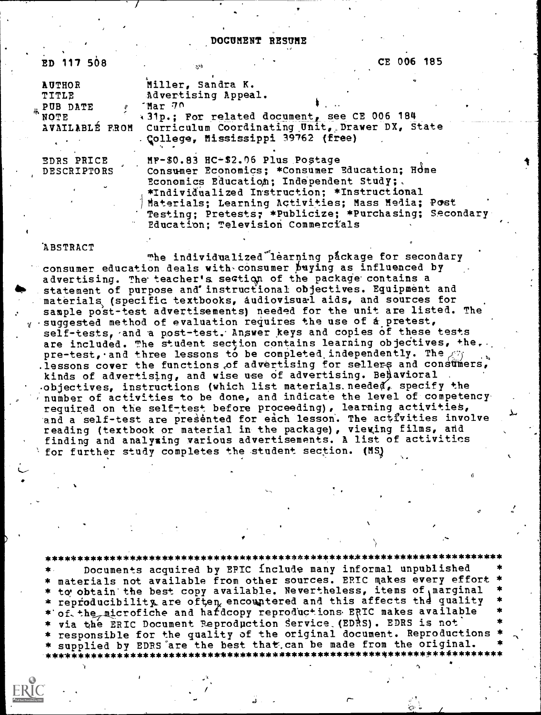DOCUMENT RESUME

| ED 117 508                                 | CE 006 185                                                                                                                                                                                                                                                                                                                    |  |
|--------------------------------------------|-------------------------------------------------------------------------------------------------------------------------------------------------------------------------------------------------------------------------------------------------------------------------------------------------------------------------------|--|
| <b>AUTHOR</b><br>TITLE<br>PUB DATE<br>NOTE | Miller, Sandra K.<br>Advertising Appeal.<br>Mar 70<br>431p.; For related document, see CE 006 184<br>AVAILABLÉ FROM Curriculum Coordinating Unit, Drawer DX, State<br>. College, Mississippi 39762 (free)                                                                                                                     |  |
| EDRS PRICE<br><b>DESCRIPTORS</b>           | MP-\$0.83 HC-\$2.06 Plus Postage<br>Consumer Economics; *Consumer Education; Home<br>Economics Education; Independent Study;<br>*Individualized Instruction; *Instructional<br>Materials; Learning Activities; Mass Media; Post<br>Testing; Pretests; *Publicize; *Purchasing; Secondary<br>Education; Television Commercials |  |

#### **ABSTRACT**

mhe individalized'learning package for secondary consumer education deals with consumer buying as influenced by advertising. The teacher's section of the package contains a statement of purpose and' instructional objectives. Equipment and materials (specific textbooks, audiovisual aids, and sources for sample post-test advertisements) needed for the unit are listed. The suggested method of evaluation requires the use of a pretest, self-tests, and a post-test. Answer keys and copies of these tests are included. The student section contains learning objectives, the,  $pre-test,$  and three lessons to be completed independently. The  $\mathcal{J}\gamma$ .lessons cover the functions of advertising for sellers and consumers, kinds of advertising, and wise use of advertising. Be avioral objectives, instructions (which list materials. needed, specify the number of activities to be done, and indicate the level of competency required on the self-test before proceeding), learning activities, and a self-test are presented for each lesson. The activities involve reading (textbook or material in the package), viewing films, and finding and analysing various advertisements. A list of activities for further study completes the student section. (MS)

\*\*\*\*\*\*\*\*\*\*\*\*\*\*\*\*\*\*\*\*\*\*\*\*\*\*\*\*\*\*\*\*\*\*\*\*\*\*\*\*\*\*\*\*\*\*\*\*\*\*\*\*\*\*\*\*\*\*\*\*\*\*\*\*\*\*\*\*\*\*\*

Documents acquired by EPIC include many informal unpublished materials not available from other sources. ERIC makes every effort to obtain the best copy available. Nevertheless, items of marginal reproducibility are often encountered and this affects the quality of, the microfiche and hafdcopy reproductions ERIC makes available via the ERIC Document Reproduction Service, (EDRS). EDRS is not responsible for the quality of the original document. Reproductions supplied by EDRS are the best that can be made from the original. \*\*\*\*\*\*\*\*\*\*\*\*\*\*\*\*\*\*\*\*\*\*\*\*\*\*\*\*\*\*\*\*\*\*\*\*\*\*\*\*\*\*\*\*\*\*\*\*\*\*\*\*4\*\*\*\*\*\*Ic\*\*\*\*\*\*\*\*\*\*\*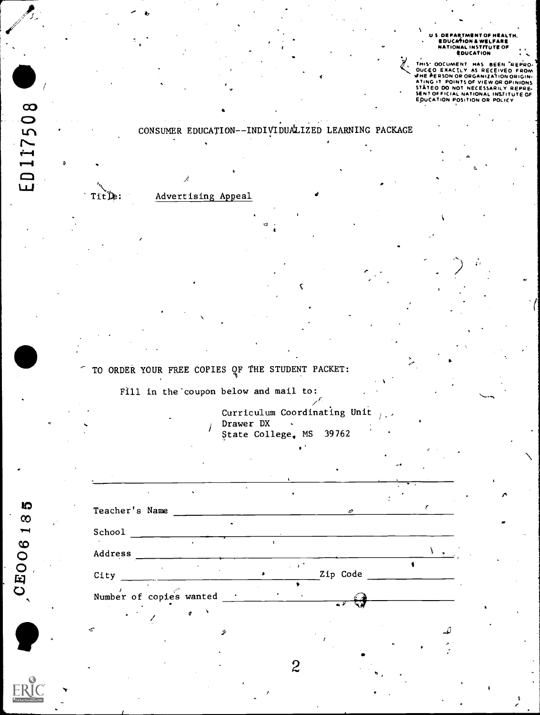# U S DEPARTMENT OF HEALTH,<br>EDUCATION & WELFARE<br>NATIONAL INSTITUTE OF ...

**EDUCATION COMMENT HAS BEEN TREPRO-**<br>
THIS' OOCUMENT HAS BEEN TREPRO-<br>
OUCED EXACTLY AS RECEIVED FROM<br>
THE PERSON OR ORGANIZATION OR OPINIONS<br>
STATED DO NOT NECESSARILY REPRE-<br>
SENT OFFICIAL NATIONAL INSTITUTE OF<br>
SENT OFF

9

### CONSUMER EDUCATION--INDIVIDUALIZED LEARNING PACKAGE

 $\bullet$  and  $\bullet$ 

 $\epsilon$  and  $\epsilon$ 

Advertising Appeal

 $Ti$ t $\mathbf{\hat{p}}$ :

ED117508

CEOO6185

ERIC

 $\sigma$  and  $\sigma$ 

### TO ORDER YOUR FREE COPIES OF THE STUDENT PACKET:

Fill in the coupon below and mail to:

Curriculum Coordinating Unit Drawer DX State College, MS 39762

2

 $\mathcal{L}$ 

|                                   | O                      |          |  |
|-----------------------------------|------------------------|----------|--|
|                                   |                        |          |  |
|                                   |                        |          |  |
|                                   |                        |          |  |
|                                   |                        |          |  |
|                                   | $\bullet$ <sup>2</sup> |          |  |
| Number of copies wanted<br>$\sim$ |                        | Zip Code |  |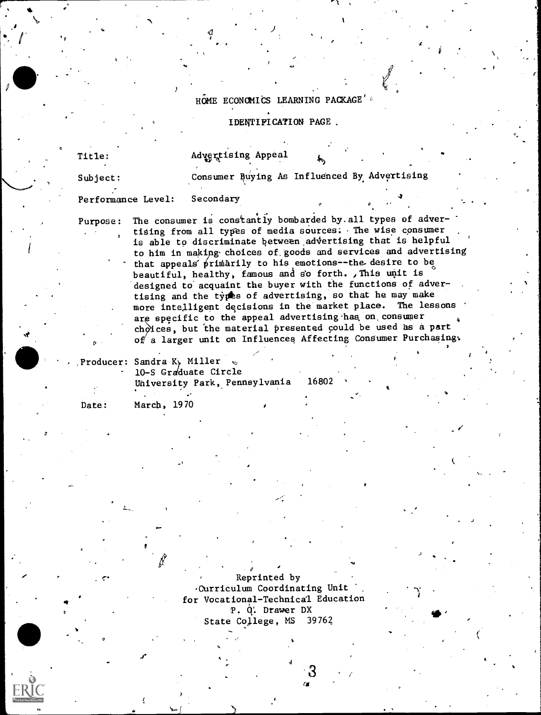#### HOME ECONOMICS LEARNING PACKAGE's

 $\bullet$  . The set of  $\bullet$ 

#### IDENTIFICATION PAGE

Title:

### Advertising Appeal

Subject:

### Consumer 8uying As Influenced By Advertising

4,)

 $\mathbf{v}^{(k)}$ 

Performance Level: Secondary

Purpose: The consumer is constantly bombarded by all types of advertiging from all types of media sources; The wise consumer is able to discriminate between advertising that is helpful to him in making choices of goods and services and advertising that appeals primarily to his emotions--the desire to be beautiful, healthy, famous and so forth. , This unit is designed to acquaint the buyer with the functions of advertising and the types of advertising, so that he may make more intelligent decisions in the market place. The lessons are specific to the appeal advertising has, on, consumer  $ch\hat{\varphi}$ ices, but the material presented could be used as a part a larger unit on Influences Affecting Consumer Purchasing:

Producer: Sandra K. Miller

10-S Grdduate Circle University Park, Pennsylvania 16802

Date: March, 1970

Reprinted by Curriculum Coordinating Unit ', 4 for Vocational-Technical Education P. Q. Drawer DX<br>e College. MS 39762 State College, MS

 $\sim$ 

t

 $3 \rightarrow 7$ 

(g

e

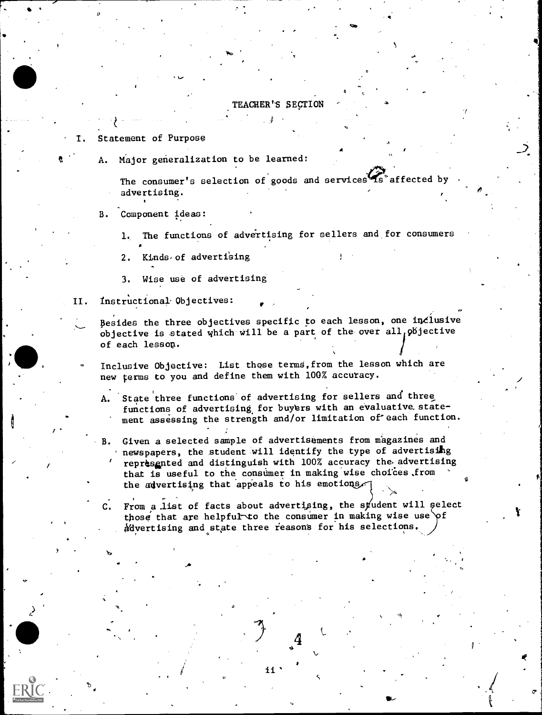#### TEACHER'S SECTION

*Seconds* 

A

 $\blacktriangleright$ 

I. Statement of Purpose

lo

 $F_{\rm eff}$  and  $F_{\rm eff}$ 

A. Major generalization to be learned:

The consumer's selection of goods and services  $\widetilde{A_{S}}$  affected by advertising.

B. Component ideas:

1. The functions of advertising for sellers and for consumers

- 2. Kinds of advertising
- 3. Wise use of advertising
- II. Instructional Objectives:
	- Besides the three objectives specific to each lesson, one in $\epsilon$ lusive objective is stated which will be a part of the over all,  $\phi$ bjective of each lesson.
	- Inclusive Objective: List those terms, from the lesson which are new terms to you and define them with 100% accuracy.
		- A. State three functions"of advertising for sellers and three functions of advertising for buyers with an evaluative, statement assessing the strength and/or limitation of each function.
		- B. Given a selected sample of advertisements from magazines and newspapers, the student will identify the type of advertising represented and distinguish with 100% accuracy the advertising that is useful to the consumer in making wise choices from the advertising that appeals to his emotions.
		- C. From a list of facts about advertising, the student will select those that are helpful to the consumer in making wise use of Advertising and state three reasons for his selections.

fi

4

v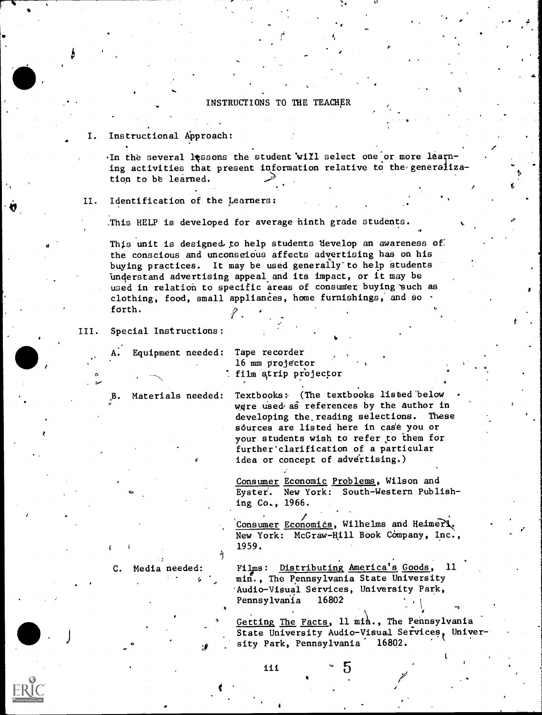#### INSTRUCTIONS TO THE TEACHER

Instructional Approach:

In the several lessons the student will select one or more learning activities that present information relative to the generalization to be learned.

II. Identification of the Learners:

This HELP is developed for average ninth grade students.

This unit is designed to help students develop an awareness of the conscious and unconseious affects advertising has on his buying practices. It may be used generally to help students Understand advertising appeal and its impact, or it may be used in relation to specific areas of consumer buying such as clothing, food, small appliances, home furnishings; and so forth.

III. Special Instructions:

. De"

a

Equipment needed: Tape recorder 16 mm projector film strip projector

B. Materials needed: Textbooks: (The textbooks listed below wgre used as references by the author in developing the, reading selections. These sources are listed here in case you or your students wish to refer to them for further'clarification of a particular idea or concept of advertising.)

> Consumer Economic Problems, Wilson and Eyster. New York: South-Western Publishing Co., 1966.

Consumer Economics, Wilhelms and Heimerl. New York: McGraw-Hill Book Company, Inc., 1959.

C. Media needed: Films: Distributing America's Goods, 11 min., The Pennsylvania State University 'Audio-Visual Services, University Park, Pennsylvania 16802

 $\overline{\phantom{0}}$   $\overline{\phantom{0}}$   $\overline{\phantom{0}}$   $\overline{\phantom{0}}$ 

111

Getting The Facts, 11 min., The Pennsylvania State University Audio-Visual Services, University Park, Pennsylvania<sup>'</sup> 16802.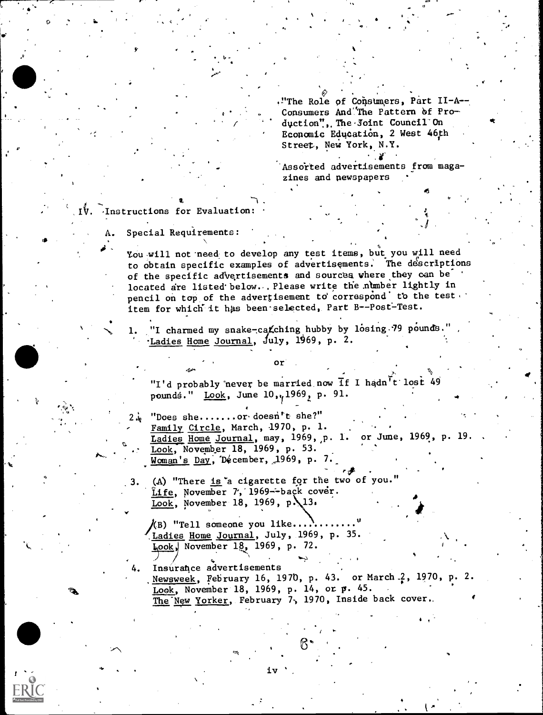."The Role of Consumers, Part II-A--Consumers And "The Pattern bf Pro duction", The Joint Council On Economic Education, 2 West 46th Street., New York, N.Y.

o

'Asscirted advertisements from magazines and newspapers

 $\overrightarrow{10}$ . Instructions for Evaluation:

.<br>• Մահեր

e.7

 $\sim$ 

 $\sim$   $\sim$ 

t and the second second second second second second second second second second second second second second second second second second second second second second second second second second second second second second se

Special Requirements:

ة. 2

You will not need to develop any test items, but you will need to obtain specific examples of advertisements.' "The descriptions of the specific advertisements and sources where they can be located are listed below...Please write the number lightly in pencil on top of the advertisement to correspond' to the test. item for which it has been selected, Part B--Post-Test.

"I charmed my snake-ca*i*ching hubby by losing.79 pounds." Ladies Home Journal, July, 1969, p. 2.

or

"I'd probably never be married now If I hadn<sup>T</sup>t lost 49 pounds." Look, June 10, 1969, p. 91.

"Does she.......or doesn't she?" Family Circle, March, 1970, p. 1. Ladies Home Journal, may, 1969, p. 1. or June, 1969, p. 19. Look, November 18, 1969, p. 53. W<u>oman's</u> Day, Décember, 1969, p.

rogen van de volt van de volt van de volt van de volt van de volt van de volt van de volt van de volt van de v<br>Verdrag van de volt van de volt van de volt van de volt van de volt van de volt van de volt van de volt van de

A

3. (A) "There is a cigarette for the two of you."  $\overline{\text{life}}$ , November 7, 1969--back cover. Look, November 18, 1969, p. 13.

 $\chi$ B) "Tell someone you like.... Ladies Home Journal, July, 1969, p. 35. Look, November 18, 1969, p. 72.

) / Insurance advertisements Newsweek, February 16, 1970, p. 43. or March 2, 1970, p. 2. Look, November 18, 1969, p. 14, or p. 45. The New Yorker, February 7, 1970, Inside back cover.

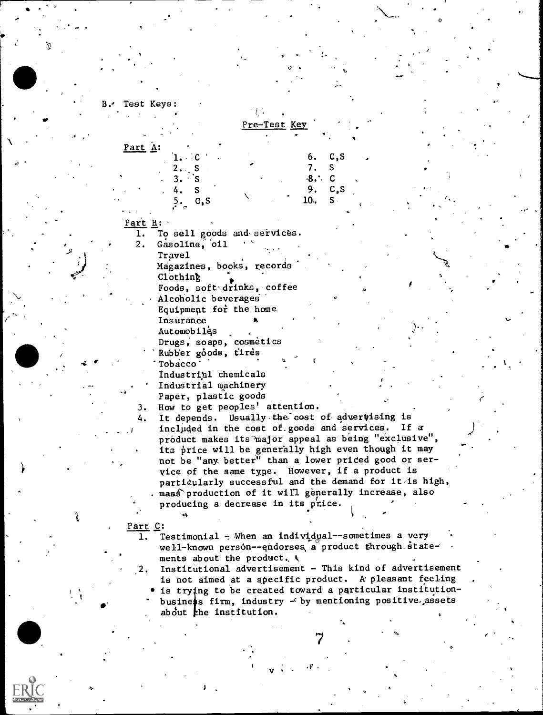#### B.0 Test Keys:

 $\bullet$   $\bullet$   $\circ$   $\bullet$ 

 $\mathcal{C}^{(n)}$  is a set of  $\mathcal{C}^{(n)}$ 

|      |                      | Pre-Test Key |      |      |  |
|------|----------------------|--------------|------|------|--|
|      |                      |              |      |      |  |
| Part |                      |              |      |      |  |
|      | 1. C                 |              | 6.   | C, S |  |
|      |                      |              |      | S    |  |
|      |                      |              | ∙8∙` |      |  |
| ٠    |                      |              | У.   | c,s  |  |
|      | c.s<br>$\sim$ $\sim$ |              | 10.  | C    |  |

s,

<sup>I</sup> .

#### Part B:

.

1. To sell goods and services.<br>2. Gasoline, oil

Gasoline, oil Travel Magazines, books, records Clothing Foods, soft drinks, coffee Alcoholic beverages

Equipment for the home Insurance

Automobiles

Drugs; soaps, cosmetics

Rubber goods, tires Tobacco<sup>.</sup>

Industrial chemicals Industrial machinery

Paper, plastic goods

3. How to get peoples' attention.

4. It depends. Usually the cost of advertising is included in the cost of goods and services. If a product makes its major appeal as being "exclusive", its price will be generally high even though it may not be "any better" than a lower priced good or service of the same type. However, if a product is particularly successful and the demand for it is high, mass production of it will generally increase, also producing a decrease in its price.

Part C:

 $\bullet$  transfer

1. Testimonial  $\tau$  When an individual--sometimes a very well-known person--endorses a product through statements about the product.  $\sqrt{ }$ 

2. Institutional advertisement - This kind of advertisement is not aimed at a specific product. A pleasant feeling

is trying to be created toward a particular institutionbusiness firm, industry  $\prec$  by mentioning positive. assets about the institution.

 $\begin{bmatrix} 7 \\ 7 \end{bmatrix}$ 

 $v \sim$   $v \sim$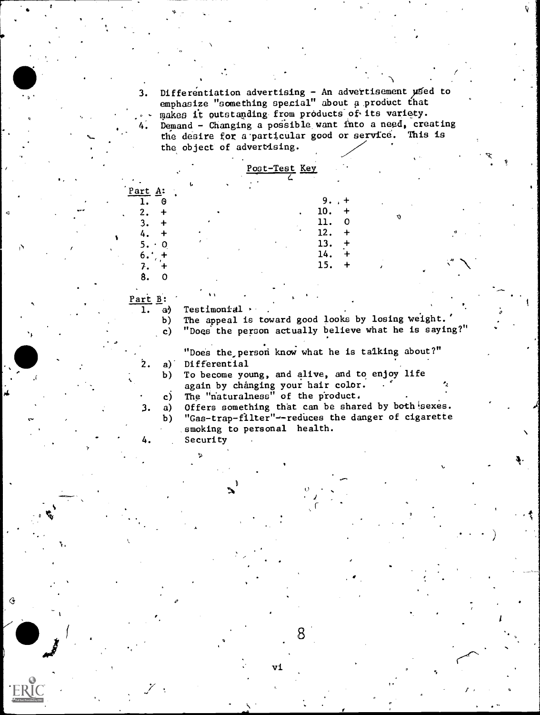3. Differentiation advertising - An advertisement  $\mu$ sed to emphasize "something special" about g.product that makes it outstanding from products of its variety. 4. Demand - Changing a possible want into a need, creating the desire for a particular good or service. This is the object of advertising.

|         |             | Post-Test Key                                         |
|---------|-------------|-------------------------------------------------------|
|         |             |                                                       |
| Part A: |             |                                                       |
|         | Θ           | 9.                                                    |
| 2.      | $\ddot{}$   | 10.<br>V)                                             |
| 3.      | $\ddotmark$ | 11.<br>0                                              |
| 4.      | $+$         | 12.<br>$\ddot{}$                                      |
| 5.0     |             | 13.<br>$\div$                                         |
| $6.7 +$ |             | 14.<br>$+$                                            |
| 7.      |             | 15.<br>┿                                              |
| 8.      | $\Omega$    |                                                       |
|         |             |                                                       |
| Part B: |             |                                                       |
| 1.      | a)          | $Test$ montal $\cdot$                                 |
|         | b)          | The appeal is toward good looks by losing weight.     |
|         | C)          | "Does the person actually believe what he is saying?" |
|         |             |                                                       |
|         |             | "Does the person know what he is taiking about?"      |
| 2.      |             | Differential                                          |
|         | a)          |                                                       |
|         | b)          | To become young, and alive, and to enjoy life         |
|         |             | again by changing your hair color.                    |
|         | c)          | The "naturalness" of the product.                     |
| 3.      | a)          | Offers something that can be shared by both sexes.    |
|         | b)          | "Gas-trap-filter"--reduces the danger of cigarette    |
|         |             | smoking to personal health.                           |
|         |             | Security                                              |



 $\cup$   $\cdots$ 

r

vi

O

 $\Theta$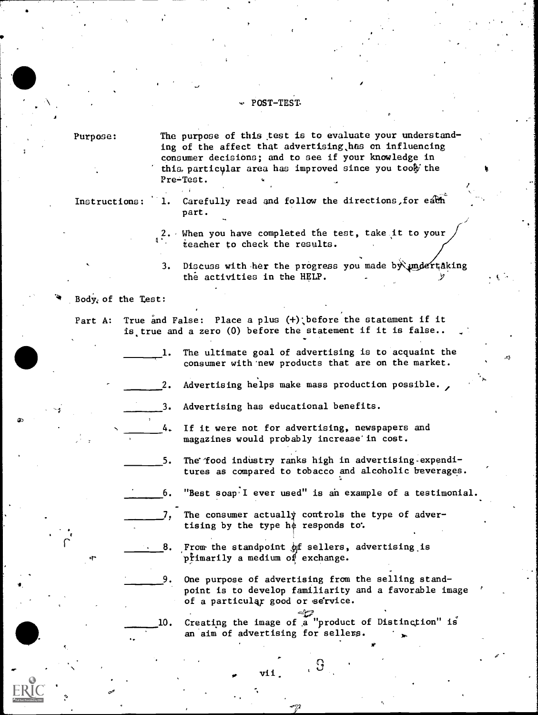## POST-TEST

 $\mathbf{v}$  and  $\mathbf{v}$ 

| Purpose:           |     | The purpose of this test is to evaluate your understand-<br>ing of the affect that advertising has on influencing<br>consumer decisions; and to see if your knowledge in<br>this, particular area has improved since you tooly the<br>Pre-Test. |     |
|--------------------|-----|-------------------------------------------------------------------------------------------------------------------------------------------------------------------------------------------------------------------------------------------------|-----|
| Instructions:      | ı.  | Carefully read and follow the directions, for each<br>part.                                                                                                                                                                                     |     |
|                    |     | 2. When you have completed the test, take it to your<br>teacher to check the results.                                                                                                                                                           |     |
|                    | 3.  | Discuss with her the progress you made by undertaking<br>the activities in the HELP.                                                                                                                                                            |     |
| Body, of the Test: |     |                                                                                                                                                                                                                                                 |     |
|                    |     | Part A: True and False: Place a plus (+) before the statement if it<br>is true and a zero (0) before the statement if it is false                                                                                                               |     |
|                    | ı.  | The ultimate goal of advertising is to acquaint the<br>consumer with new products that are on the market.                                                                                                                                       | μф. |
|                    | 2.  | Advertising helps make mass production possible.                                                                                                                                                                                                |     |
|                    | 3.  | Advertising has educational benefits.                                                                                                                                                                                                           |     |
|                    | 4.  | If it were not for advertising, newspapers and<br>magazines would probably increase in cost.                                                                                                                                                    |     |
|                    | 5.  | The food industry ranks high in advertising expendi-<br>tures as compared to tobacco and alcoholic beverages.                                                                                                                                   |     |
|                    | 6.  | "Best soap I ever used" is an example of a testimonial.                                                                                                                                                                                         |     |
|                    | 7.  | The consumer actually controls the type of adver-<br>tising by the type $h\phi$ responds to.                                                                                                                                                    |     |
| ٥ŗ                 | 8.  | From the standpoint $\phi$ sellers, advertising is<br>primarily a medium of exchange.                                                                                                                                                           |     |
|                    | 9.  | One purpose of advertising from the selling stand-<br>point is to develop familiarity and a favorable image<br>of a particular good or service.                                                                                                 |     |
|                    | 10. | Creating the image of a "product of Distinction" is<br>an aim of advertising for sellers.                                                                                                                                                       |     |
|                    |     |                                                                                                                                                                                                                                                 |     |

 $vii$ .

co.

Q.

E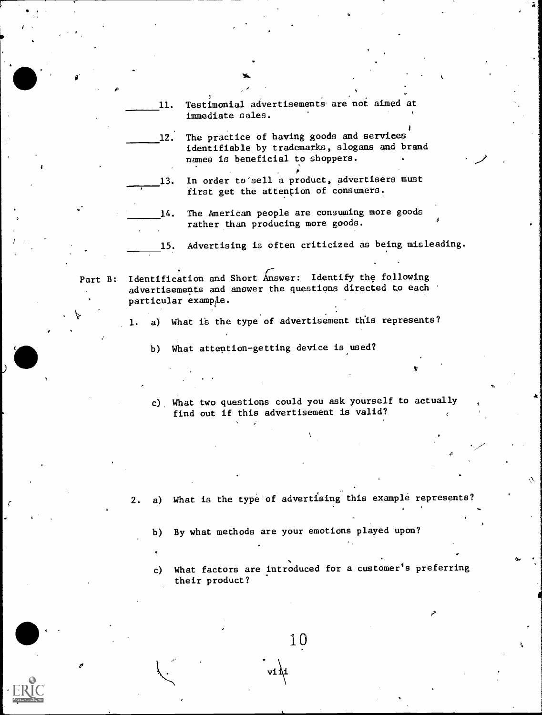- 11. Testimonial advertisements are not aimed at immediate sales.
- 12. The practice of having goods and services identifiable by trademarks, slogans and brand names is beneficial to shoppers.
- 13. In order to'sell a product, advertisers must first get the attention of consumers.
	- 14. The American people are consuming more goods rather than producing more goods.

15. Advertising is often criticized as being misleading.

- Part B: Identification and Short Answer: Identify the following advertisements and answer the questions directed to each particular example.
	- 1. a) What is the type of advertisement this represents?
		- b) What attention-getting device is used?
		- c), What two questions could you ask yourself to actually find out if this advertisement is valid?
	- 2. a) What is the type of advertising this example represents?
		- b) By what methods are your emotions played upon?

 $\sigma$ 

c) What factors are introduced for a customer's preferring their product?

 $\checkmark$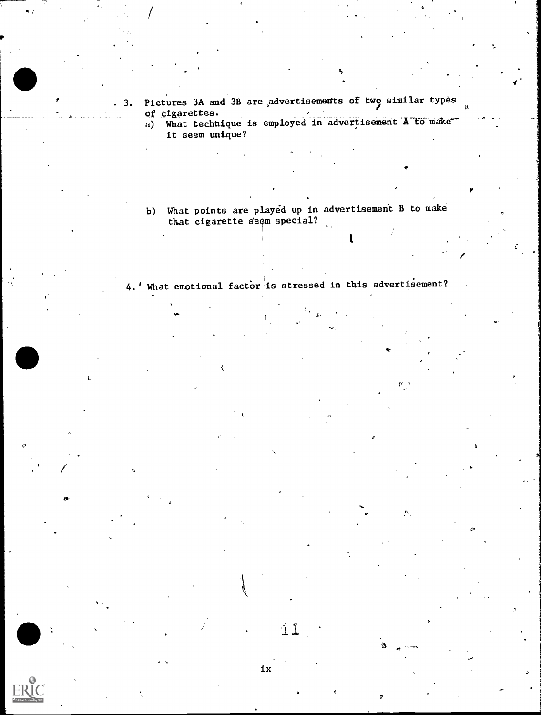- 3. Pictures 3A and 3B are advertisements of two similar types  $\frac{1}{b}$ of cigarettes.
	- a) What technique is employed in advertisement A-55 makeit seem unique?
	- b) What points are played up in advertisement B to make that cigarette deem special?

4.' What emotional factor is stressed in this advertisement?

S.

ı

 $\nabla$ 

K

ix

1i

L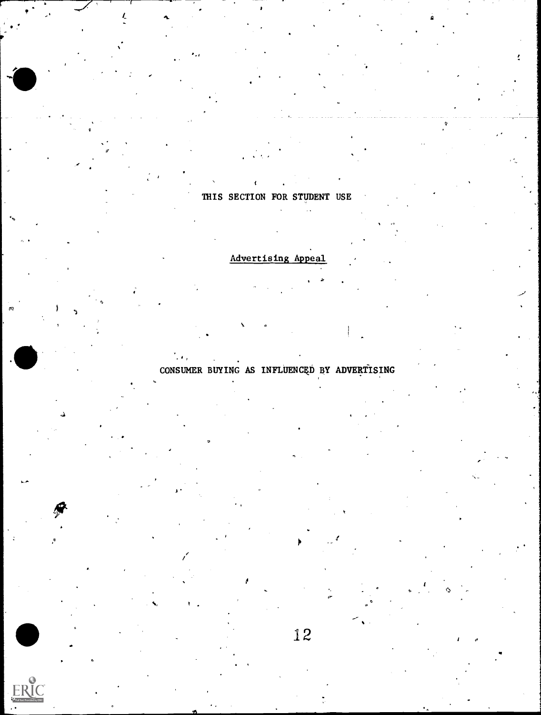### THIS SECTION FOR STUDENT USE

.

### Advertising Appeal

CONSUMER BUYING AS INFLUENCED BY ADVERTISING

Žφ,

 $\overbrace{\text{ERIC}}^\text{Quillist E}\xspace_{\text{Prouldist EycHole}}$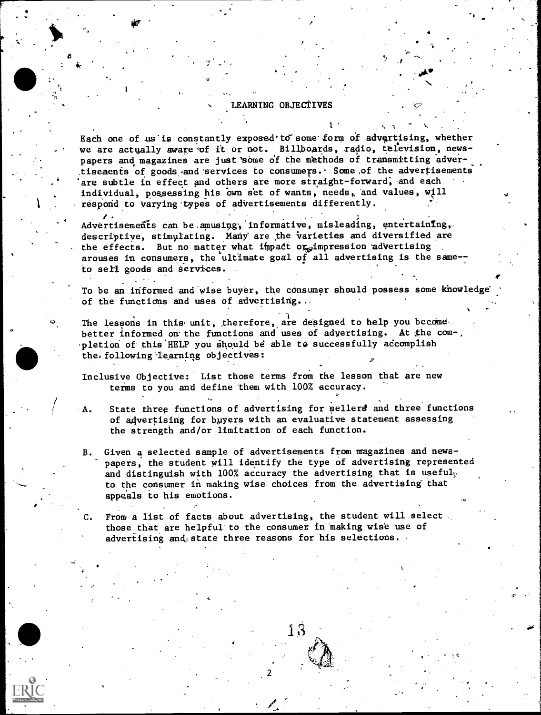#### LEARNING OBJECTIVES

 $1.11$ 

Gr.

1

 $\circledcirc$ 

Each one of us is constantly exposed'to some form of advertising, whether we are actually aware 'of it or not. Billboards, radio, television, newspapers and magazines are just some of the methods of transmitting advertisements of goods and services to consumers. Some of the advertisements are subtle in effect and others are more straight-forward; and each individual, possessing his own set of wants, needs, and values, will respond to varying types of advertisements differently.

Advertisements can be amusing, informative, misleading, entertaining, descriptive, stimulating. Many are the varieties and diversified are the effects. But no matter what impact or impression advertising arouses in consumers, the ultimate goal of all advertising is the same-to sell goods and services,

To be an informed and wise buyer, the consumer should possess some knowledge of the functions and uses of advertising.

The lessons in this unit, therefore, are designed to help you become. better informed on the functions and uses of advertising. At the com-, bletion of this HELP you should be able to successfully accomplish the. following learning objectives:

Inclusive Objective: List those terms from the lesson that are new terms to you and define 'them with 100% accuracy.

A. State three functions of advertising for sellers and three functions of advertising for buyers with an evaluative statement assessing the strength and/or limitation of each function.

B. Given a selected sample of advertisements from magazines and newspapers, the student will identify the type of advertising represented and distinguish with 100% accuracy the advertising that is useful<sub> $\widehat{v}$ </sub> to the consumer in making wise choices from the advertising that appeals to his emotions.

13

From a list of facts about advertising, the student will select. those that are helpful to the consumer in making wise use of advertising and state three reasons for his selections.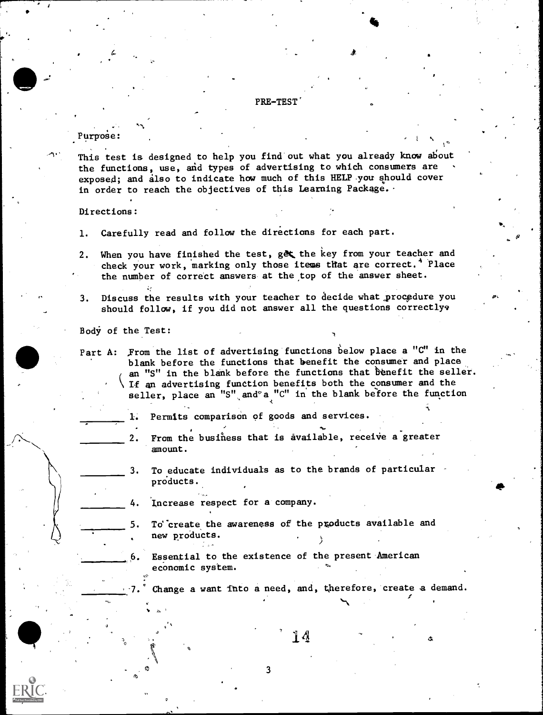#### PRE-TEST'

 $\frac{1}{2}$ 

#### Purpose: . .

. .

G.

This test is designed to help you find out what you already know about the functions, use, and types of advertising to which consumers are exposed; and also to indicate how much of this HELP you should cover in order to reach the objectives of this Learning Package.

Directions:

I'

1. Carefully read and follow the directions for each part.

- 2. When you have finished the test, get the key from your teacher and check your work, marking only those items that are correct.' Place the number of correct answers at the top of the answer sheet.
- 3. Discuss the results with your teacher to decide what procedure you should follow, if you did not answer all the questions correctly?

Body of the Test:

-4.

- Part A: From the list of advertising functions below place a "C" in the blank before the functions that benefit the consumer and place an "S" in the blank before the functions that benefit the seller. If an advertising function benefits both the consumer and the seller, place an "S" and a "C" in the blank before the function
	- 1. Permits comparison of goods and services.
	- 2. From the busihess that is available, receive a greater amount.
	- 3. To educate individuals as to the brands of particular products.
		- Increase respect for a company.
		- 5. To create the awareness of the products available and new products.
		- 6. Essential to the existence of the present American economic system.

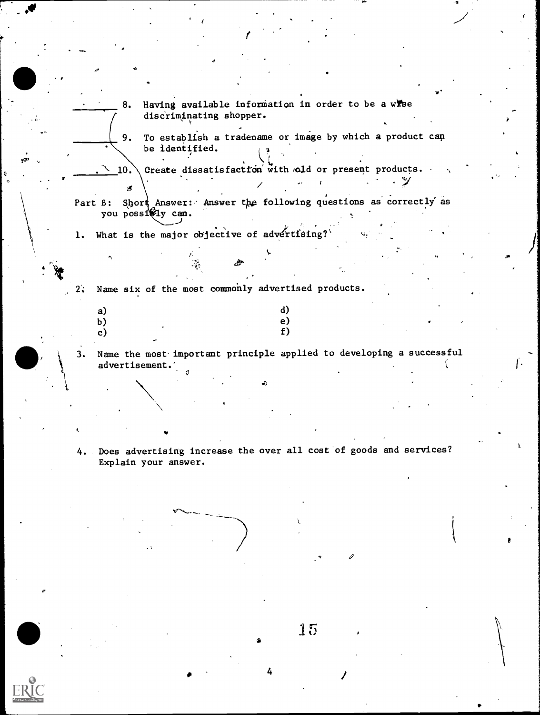|    | 8.        | discriminating shopper. |                                                    | Having available information in order to be a wrse                                                               |  |
|----|-----------|-------------------------|----------------------------------------------------|------------------------------------------------------------------------------------------------------------------|--|
|    | 9.<br>10. | be identified.          |                                                    | To establish a tradename or image by which a product can<br>Create dissatisfaction with ald or present products. |  |
|    | s         |                         |                                                    |                                                                                                                  |  |
|    | Part B:   |                         |                                                    | Short Answer: Answer the following questions as correctly as                                                     |  |
|    |           | you possivly can.       |                                                    |                                                                                                                  |  |
| ı. |           |                         | What is the major objective of advertising?        |                                                                                                                  |  |
|    |           |                         |                                                    |                                                                                                                  |  |
| 2: |           |                         | Name six of the most commonly advertised products. |                                                                                                                  |  |
|    | a)        |                         | d)                                                 |                                                                                                                  |  |
|    | Ы         |                         | e.                                                 |                                                                                                                  |  |
|    | С,        |                         |                                                    |                                                                                                                  |  |

 $\theta$ 

 $\mathbf{r}$  . The set of  $\mathbf{r}$ 

4

 $\sigma$  and  $\sigma$ 

3. Name the most important principle applied to developing a successful advertisement. advertisement.'<br>*a* 

A

4. Does advertising increase the over all cost of goods and services? Explain your answer.

15

o

Ŀ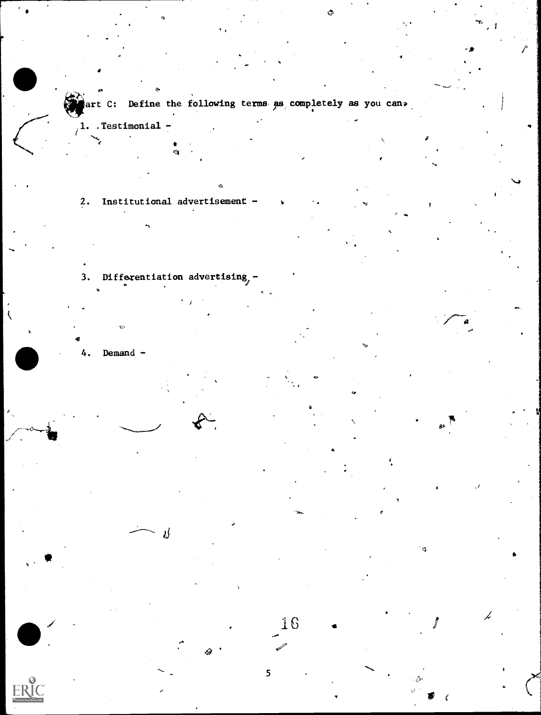art C: Define the following terms as completely as you cans

 $\mathcal{O}$ 

 $\bullet$  0.000  $\bullet$  0.000  $\bullet$  0.000  $\bullet$  0.000  $\bullet$  0.000  $\bullet$  0.000  $\bullet$  0.000  $\bullet$  0.000  $\bullet$  0.000  $\bullet$  0.000  $\bullet$  0.000  $\bullet$  0.000  $\bullet$  0.000  $\bullet$  0.000  $\bullet$  0.000  $\bullet$  0.000  $\bullet$  0.000  $\bullet$  0.000  $\bullet$  0.000  $\bullet$  0.000

 $\sim$ 

 $\frac{16}{9}$ 

5

 $\sim$  0.000  $\sim$ 

ำ

 $1.$  . Testimonial -

e

 $\mathfrak{a}$ 

P<sub>o</sub>

2. Institutional advertisement -

 $\mathcal{A}$  ,

3. Differentiation advertising,  $-$ 

₫

Demand -

 $\overline{\mathbf{C}}$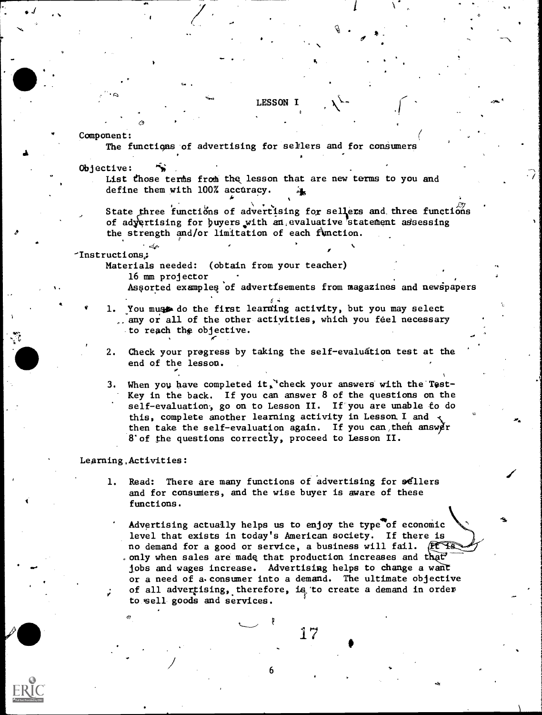#### LESSON I

Component:

N.

The functions of advertising for sellers and for consumers

Objective:

40.

List those terms from the lesson that are new terms to you and define them with 100% accuracy.

State three functions of advertising for sellers and three functions of ady ertising for buyers with an evaluative statement assessing the strength and/or limitation of each function.

-Instructions;

Materials needed: (obtain from your teacher)

16 mm projector

Va

- Assorted examples of advertisements from magazines and newspapers
- 1. You muse do the first learning activity, but you may select .. any or all of the other activities, which you feel necessary to reach the objective.
- 2. Check your progress by taking the self-evaluation test at the end of the lesson.
- 3. When you have completed it, theck your answers with the Test-Key in the back. If you can answer 8 of the questions on the self-evaluatiom, go on to Lesson II. If'you are unable to do this, complete another learning activity in Lesson. I and then take the self-evaluation again. If you can, then answer 8 of the questions correctly, proceed to Lesson II.

#### Learning,Activities:

- 1. Read: There are many functions of advertising for sellers and for consumers, and the wise buyer is aware of these functions.
- ; of all advertising, therefore, is to create a demand in order Advertising actually helps us to enjoy the type"of economic level that exists in today's American society. If there is no demand for a good or service, a business will fail. PCES . only when sales are made that production increases and that jobs and wages increase. Advertising helps to change a want or a need of a consumer into a demand. The ultimate objective to sell goods and services.

6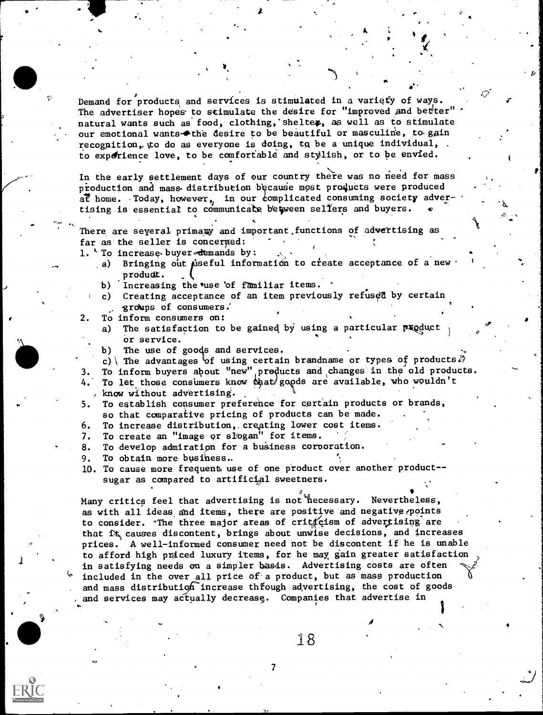Demand for products and services is stimulated in a variety of ways. The advertiser hopes to stimulate the desire for "improved and better" natural wants such as food, clothing, sheltex, as well as to stimulate our emotional wants the desire to be beautiful or masculine, to gain recognition, to do as everyone is doing, to be a unique individual, . to experience love, to be comfortable and stylish, or to be envied.

. . .

 $\sigma$  and  $\sigma$ 

b.

In the early settlement days of our country there was no need for mass production and mass distribution because most products were produced  $a\overline{c}$  home. Today, however, in our complicated consuming society advertising is essential to communicate between sellers and buyers.

There are several primary and important functions of advertising as far as the seller is concerned:

1. To increase buyer-demands by:

- , a) Bringing out  $\mu$ seful information to create acceptance of a new product.
- b) Increasing the use of familiar items.
- c) Creating acceptance of an item previously refused by certain groups of consumers.
- 2. To inform consumers on:

 $\mathcal{A}^{\text{max}}$ 

- a) The satisfaction to be gained by using a particular  $\mathbf{p}$  induct or service.
- b) The use of goods and services.
- c) \ The advantages \of using certain brandname or types of products  $\hat{\omega}$
- 3. To inform buyers about "new" preducts and changes in the old products. 4. To let those consumers know Naat/goods are available, who wouldn't
	- , know without advertising.
- 5. To establish consumer preference for certain products or brands, so that comparative pricing of products can be made.
- 6. To increase distribution,,creating lower cost items.

7. To create an "image or slogan" for items.

- 8. To develop admiration for a business corporation.
- 9. To obtain more business.
- 10. To cause more frequent use of one product over another product-sugar as compared to artificial sweetners.

Many critics feel that advertising is not hecessary. Nevertheless, as with all ideas and items, there are positive and negative points to consider. "The three major areas of critteism of advertising are that it causes discontent, brings about unwise decisions, and increases prices. A well-informed consumer need not be discontent if he is unable to afford high priced luxury items, for he may gain greater satisfaction in satisfying needs on a simpler basis. Advertising costs are often included in the over all price of a product, but as mass production and mass distribution increase through advertising, the cost of goods and services may actually decrease. Companies that advertise in



 $\begin{array}{c} 18 \\ 7 \end{array}$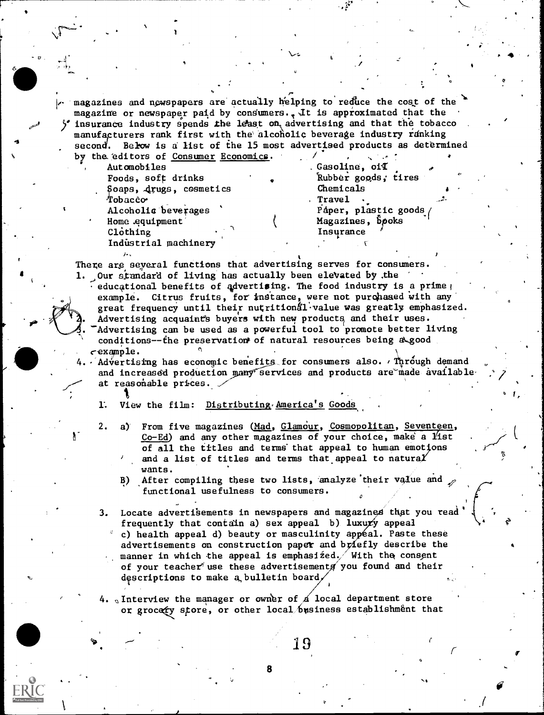$\sim$  magazines and newspapers are actually helping to reduce the cost of the  $^*$ magazine or newspaper paid by consumers. It is approximated that the .' y insurance industry spends the least on\advertising and that the tobacco manufapturers rank first with the alcoholic beverage industry ranking second. Below is a list of the 15 most advertised products as determined

by the editors of Consumer Economics. Automobiles Foods, soft drinks Soaps, drugs, cosmetics Tobacco-Alcoholic-beverages Home .equipment' Clothing Industrial machinery

 $\mathbf{I}$ .

 $\mathbf{d} = \mathbf{d} \times \mathbf{d}$ 

. Gasoline, oi ${\mathfrak T}$ Itubber goods; tires Chemicals Travel . Paper, plastic goods Magazines, books Insurance

 $\sim$  4

%,

There are several functions that advertising serves for consumers. 1. Our standard of living has actually been ele'vated by .the

educational benefits of qdvertising. The food industry is a prime{ example. Citrus fruits, for instance, were not purchaaed with any great frequency until their nutrition $a_1$  value was greatly emphasized. Advertising acquaints buyers with new products and their uses. Advertising can be used as a powerful tool to promote better living conditions--the preservation of natural resources being a good  $\epsilon$ example.

Advertising has economic benefits for consumers also.  $\sqrt{T}$  rough demand and increased production many services and products are made available at reasonable prices.\_

1. View the film: Distributing America's Goods

- 2. a) From five magazines (Mad, Glamour, Cosmopolitan, Seventeen, Co-Ed) and any other magazines of your choice, make a list of all the titles and terms that appeal to human emotions and a list of titles and terms that appeal to natural wants.
	- B) After compiling these two lists, analyze their value and  $\varnothing$ functional usefulness to consumers.  $\overline{\mathcal{Q}}$  and  $\overline{\mathcal{Q}}$
- Locate advertisements in newspapers and magazines that you read frequently that contain a) sex appeal b) luxury appeal c) health appeal d) beauty or masculinity appéal. Paste these advertisements on construction paper and  $b$   $p$ iefly describe the manner in which the appeal is emphasized. With the consent of your teacher use these advertisement  $g'$  you found and their descriptions to make a bulletin board,
- 4. Interview the manager or owner of  $\cancel{A}$  local department store or grocery store, or other local business establishment that



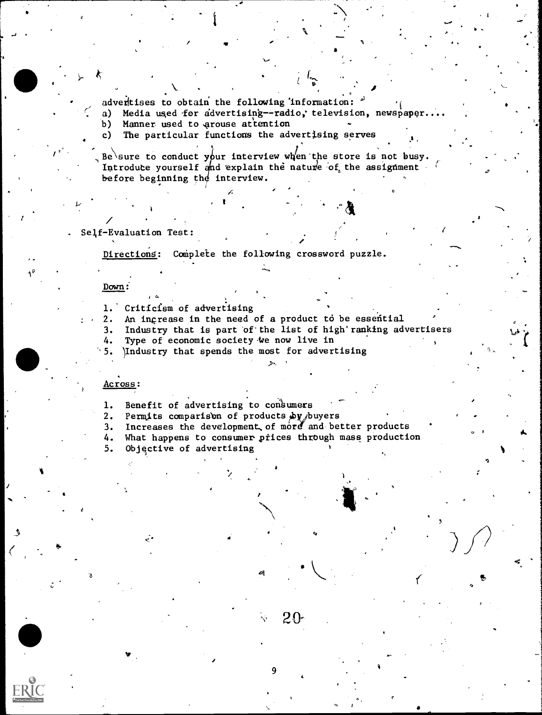adventises to obtain the following information:

r

 $\epsilon$ 

a) Media used for advertising -- radio, television, newspaper....

 $\bullet$  . The set of the set of the set of the set of the set of the set of the set of the set of the set of the set of the set of the set of the set of the set of the set of the set of the set of the set of the set of the s

 $\frac{1}{2}$  .  $\frac{1}{2}$  .  $\frac{1}{2}$ 

.  $\mathcal{L}$ 

o a contra a contra a contra a contra a contra a contra a contra a contra a contra a contra a contra a contra

4

 $\overline{\phantom{a}}$ 

b) Manner used to arouse attention

c) The particular functions the advertising serves

.  $\frac{1}{2}$   $\frac{1}{2}$   $\frac{1}{2}$   $\frac{1}{2}$   $\frac{1}{2}$   $\frac{1}{2}$   $\frac{1}{2}$   $\frac{1}{2}$   $\frac{1}{2}$   $\frac{1}{2}$   $\frac{1}{2}$   $\frac{1}{2}$   $\frac{1}{2}$   $\frac{1}{2}$   $\frac{1}{2}$   $\frac{1}{2}$   $\frac{1}{2}$   $\frac{1}{2}$   $\frac{1}{2}$   $\frac{1}{2}$   $\frac{1}{2}$   $\frac{1}{2}$ 

Be\sure to conduct your interview when the store is not busy. Introduce yourself and explain the nature of the assignment before beginning the interview.

. Self-Evaluation Test:

 $k_{\rm F}$  and  $k_{\rm F}$ 

Directions: Complete the following crossword puzzle.

#### Down:

1.' Criticism of advertising

 $\sqrt{2}$ 

- 2. An increase in the need of a product to be essential<br>3. Industry that is part of the list of high ranking ad-
- Industry that is part of the list of high ranking advertisers
- 4. Type of economic society we now live in
- 5. Industry that spends the most for advertising

#### Across:

- 1. Benefit of advertising to consumers
- 2. Permits comparison of products by buyers
- 3. Increases the development of more and better products .
- 4. What happens to consumer prices through mass production

9

4

 $\tilde{\mathbf{r}}$ 

2 0-

5. Objective of advertising



 $\bm{\tau}$ 

 $\omega_{\rm{max}} = \frac{1}{2}$ 

 $\blacksquare$ 

 $A^p$  .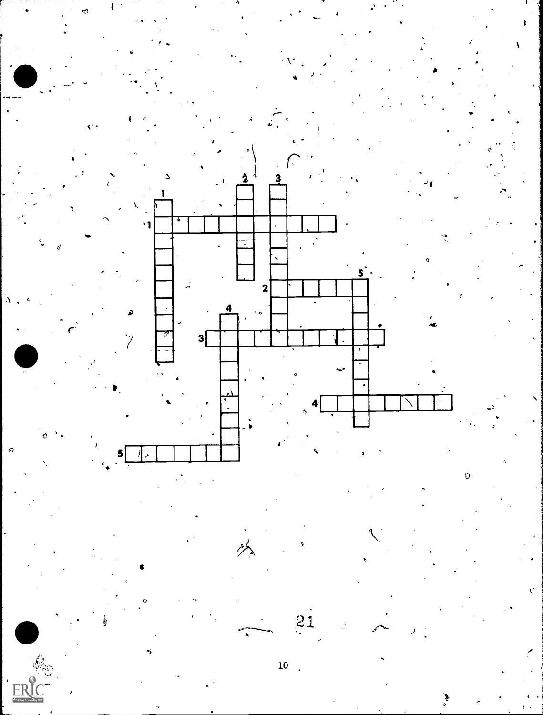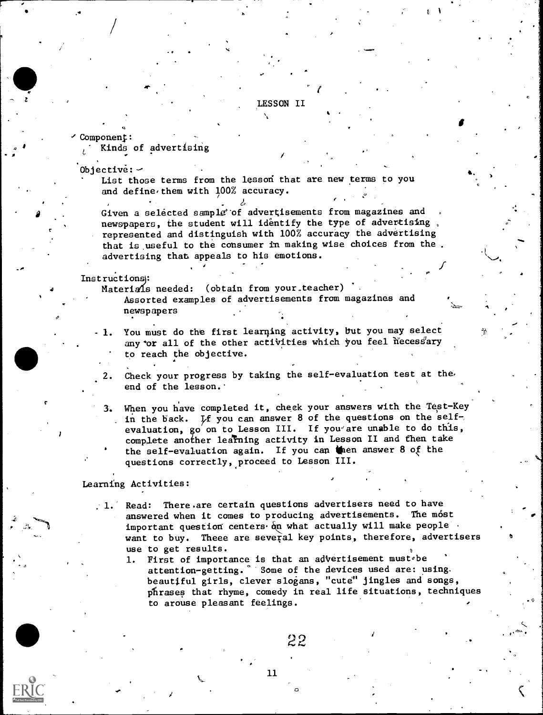#### LESSON II

 $0 \quad \bullet$ 

 $Component:$ 

 $\blacksquare$ 

Kinds of advertising

Objective: $-$ 

List those terms from the lessori that are new terms to you and define them with  $100\%$  accuracy.

Given a selected sample'of advertisements from magazines and newspapers, the student will identify the type of advertising , represented and distinguish with 100% accuracy the advertising that is useful to the consumer in making wise choices from the. advertising that appeals to his emotions.

Instructions):

Materials needed: (obtain from your teacher)

Assorted examples of advertisements from magazines and newspapers

.

- 1. You must do the first learning activity, but you may select any or all of the other activities which you feel necessary to reach the objective.
	- 2. Check your progress by taking the self-evaluation test at the, end of the lesson.
	- When you have completed it, check your answers with the Test-Key 3. in the back.  $\mathcal H$  you can answer 8 of the questions on the self-, evaluation, go on to Lesson III. If you are unable to do this, complete another learning activity in Lesson II and then take the self-evaluation again. If you can then answer 8 of the questions correctly, proceed to Lesson III.

#### Learning Activities:

- Read: There.are certain questions advertisers need to have answered when it comes to producing advertisements. The most important question centers on what actually will make people want to buy. Theee are several key points, therefore, advertisers use to get results.
	- 1. First of importance is that an advertisement must be attention-getting.' Some of the devices used are: using. beautiful girls, clever slogans, "cute" jingles and songs, phrases that rhyme, comedy in real life situations, techniques to arouse pleasant feelings.



22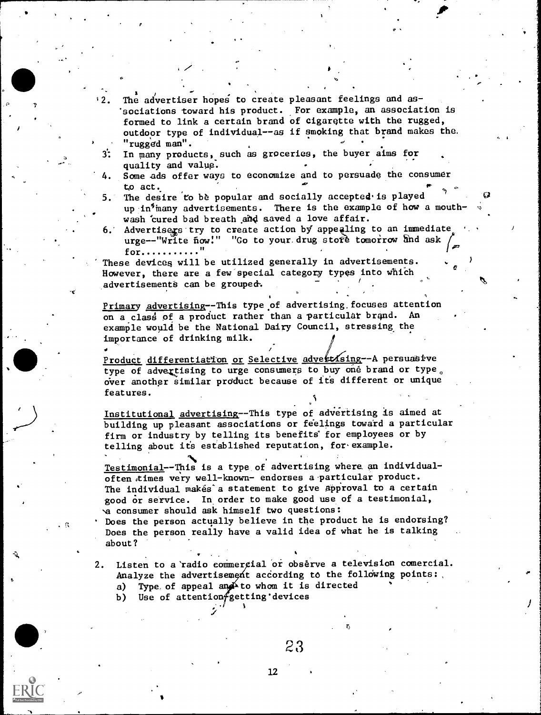- 2. The advertiser hopes to create pleasant feelings and associations toward his product. For example, an association is formed to link a certain brand of cigarette with the rugged, outdoor type of individual--as if smoking that brand makes the. "rugged man".
- 3: In many products, such as groceries, the buyer aims for quality and value.
- Some ads offer ways to economize and to persuade the consumer to act. For  $\mathbb{R}^n$  it is the set of  $\mathbb{R}^n$  if the set of  $\mathbb{R}^n$
- 5. The desire to be popular and socially acceptedis played up in<sup>5</sup>many advertisements. There is the example of how a mouthwash cured bad breath and saved a love affair.
- 6.' Advertisegs try to create action by appealing to an immediate urge--"Write flow!" "Go to your drug store tomorrow and ask for..........."

These devices will be utilized generally in advertisements. However, there are a few special category types into which advertisements can be grouped: .

Primary advertising--This type of advertising focuses attention<br>on a class of a product rather than a particular brand. An on a class of a product rather than a particular brand. example would be the National Dairy Council, stressing the importance of drinking milk.

Product differentiation or Selective advetising--A persuasive type of advertising to urge consumers to buy one brand or type. over another similar product because of its different or unique features.

Institutional advertising--This type of advertising is aimed at building up pleasant associations or feelings toward a particular firm or industry by telling its benefits" for employees or by telling about its established reputation, for example.

Testimonial--This is a type, of advertising where an individualoften times very well-known- endorses a particular product. The individual makes a statement to give approval to a certain good or service. In order to make good use of a testimonial, A consumer should ask himself two questions:

Does the person actually believe in the product he is endorsing? Does the person really have a valid idea of what he is talking about?

- 2. Listen to a radio commercial or observe a television comercial. Analyze the advertisement according to the following points:
	- a) Type, of appeal and to whom it is directed
	- b) Use of attention  $f$ getting devices

-Q.

. rz



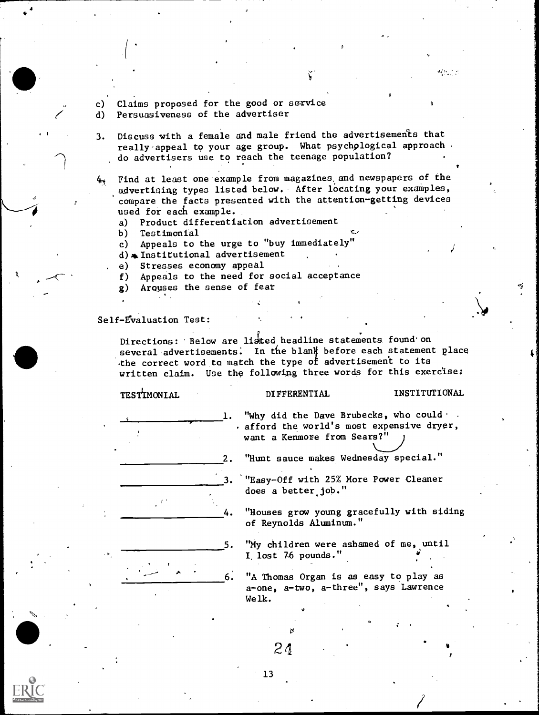c) Claims proposed for the good or service d) Persuasiveness of the advertiser

3. Discuss with a female and male friend the advertisements that really appeal to your age group. What psychological approach  $\cdot$ do advertisers use to reach the teenage population?

- Find at least one example from magazines, and newspapers of the .advertising types listed below. After locating your examples, compare the facts presented with the attention-getting devices used for each example.
	- a) Product differentiation advertisement

b) Testimonial

- c) Appeals to the urge to "buy immediately"
- d). Institutional advertisement
- e) Stresses economy appeal
- f) Appeals to the need for social acceptance
- g) Arouses the sense of fear

Self-Evaluation Test:

Directions: Below are listed headline statements found on several advertisements. In the blank before each statement place the correct word to match the type of advertisement to its written claim. Use the following three words for this exercise:

#### TESTIMONIAL DIFFERENTIAL INSTITUTIONAL

 $\mathbf{v}$  and  $\mathbf{v}$ 

 $\mathcal{L}(\mathcal{F})$ 

1. "Why did the Dave Brubecks, who could... afford the world's most expensive dryer, want a Kenmore from Sears?"

2. "Hunt sauce makes Wednesday special."

3. '"Easy-Off with 25% More Power Cleaner does a better. job."

"Houses grow young gracefully with siding of Reynolds Aluminum."

5. "My children were ashamed of me, until I. lost 76 pounds."

"A Thomas Organ is as easy to play as a-one, a-two, a-three", says Lawrence Welk.



4

 $\mathbf{I}$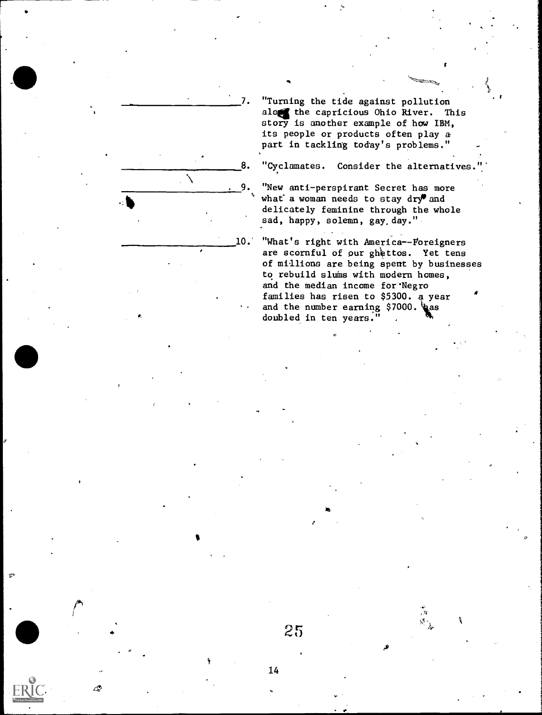

ಳ

Ŀ

7. "Turning the tide against pollution alog the capricious Ohio River. This story is another example of how IBM, its people or products often play a part in tackling today's problems."

8. "Cyclamates. Consider the alternatives.

9. "New anti-perspirant Secret has more what a woman needs to stay dry and delicately feminine through the whole sad, happy, solemn, gay day."

10. "What's right with America--Foreigners are scornful of our ghettos. Yet tens of millions are being spent by businesses to rebuild slums with modern homes, and the median income for Negro families has risen to \$5300. a year and the number earning  $$7000.$  as doubled in ten years."

海海

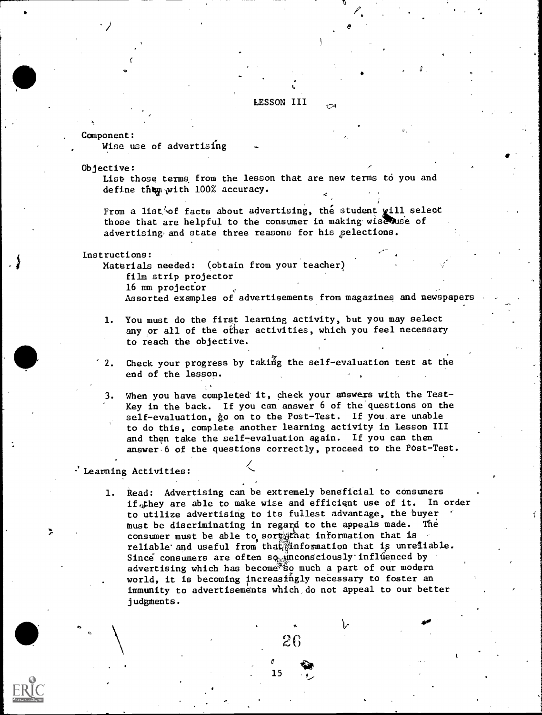#### LESSON III  $\mathbb{R}$

Component:

Wise use of advertising

Objective:

List those terms, from the lesson that are new terms to you and define them with  $100\%$  accuracy.

From a list of facts about advertising, the student will select those that are helpful to the consumer in making wise wise advertising and state three reasons for his selections.

Instructions:

Materials needed: (obtain from your teacher) film strip projector 16 mm projector Assorted examples of advertisements from magazines and newspapers

- 1. You must do the first learning activity, but you may select any or all of the other activities, which you feel necessary to reach the objective.
- 2. Check your progress by taking the self-evaluation test at the end of the lesson.
	- When you have completed it, check your answers with the Test-Key in the back. If you can answer 6 of the questions on the self-evaluation, go on to the Post-Test. If you are unable to do this, complete another learning activity in Lesson III and then take the self-evaluation again. If you can then answer 6 of the questions correctly, proceed to the Post-Test.

 $\cdot$  Learning Activities:

1. Read: Advertising can be extremely beneficial to consumers if<sub>5</sub>they are able to make wise and efficient use of it. In order to utilize advertising to its fullest advantage, the buyer must be discriminating in regard to the appeals made. The consumer must be able to sortwithat information that is reliable and useful from that information that is unreliable. Since consumers are often so unconsciously influenced by advertising which has become so much a part of our modern world, it is becoming increasingly necessary to foster an immunity to advertisements Which do not appeal to our better judgments.

2G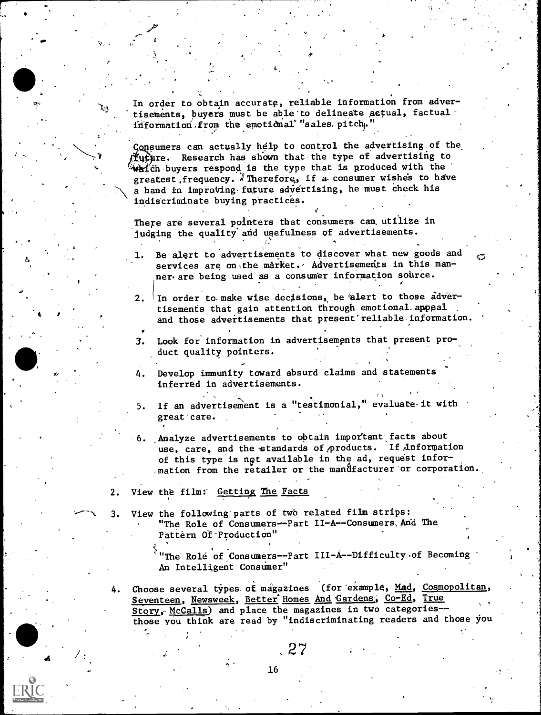In order to obtain accurate, reliable information from advertisements, buyers must be able to delineate actual, factual information.from the emotional "sales, pitch."

Consumers can actually help to control the advertising of the  $r$  is the Research has shown that the type of advertising to which buyers respond is the type that is produced with the greatest, frequency.  $\hat{\theta}$  Therefore, if a consumer wishes to have a hand in improving future advertising, he must check his indiscriminate buying practices,

There are several pointers that consumers can, utilize in judging the quality and usefulness of advertisements.

1. Be alert to advertisements to discover what new goods and services are on the market. Advertisements in this manner. are being used as a consumer information source.

a

- 2. In order to make wise decisions, be alert to those advertisements that gain attention through emotional. appeal and those advertisements that present'reliable.information.
- 3. Look for information in advertisements that present product quality pointers.

- . .

4. Develop immunity toward absurd claims and statements inferred in advertisements.

, .

- 5. If an advertisement is a "testimonial," evaluate-it with great care.
- 6. ,Analyze advertisements to obtain important facts about use, care, and the standards of products. If information of this type is not available in the ad, request information from the retailer or the mandfacturer or corporation.
- 2. View the film: Getting The Facts

**Y** YYYYYYYY

0

3. View the following parts of two related film strips: "The Role of Consumers--Part II-A--Consumers, And The Pattern Of Production"

> "The Role of Consumers--Part III-A--Difficulty.of Becoming An Intelligent Consumer"

> > $27$  and  $27$

Choose several types of magazines (for example, Mad, Cosmopolitan, Seventeen, Newsweek, Better Homes And Gardens, Co-Ed, True Story, McCalls) and place the magazines in two categoriesthose you think are read by "indiscriminating readers and those you

 $\mathbf{v}$ 

 $p$   $\qquad$   $\qquad$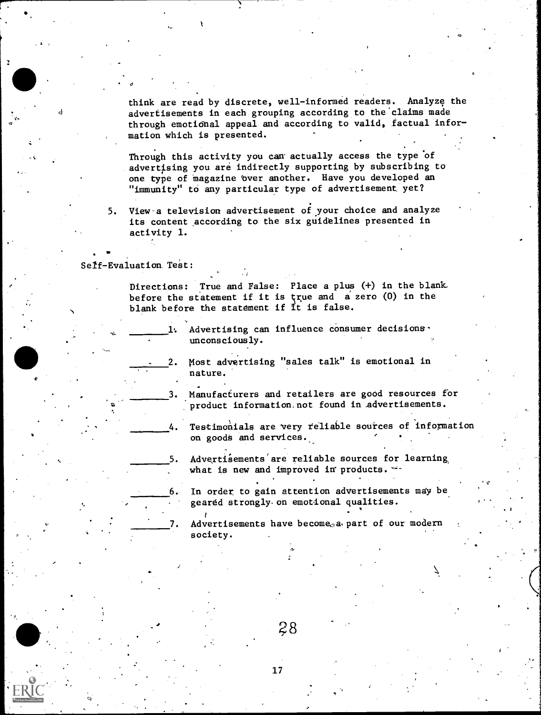think are read by discrete, well-informed readers. Analyze the advertisements in each grouping according to the'claims made through emotional appeal and according to valid, factual information which is presented.

 $\sim$ 

Through this activity you can actually access the type of advertising you are indirectly supporting by subscribing to one type of Magazine 'Over another. Have you developed an "immunity" to any particular type of advertisement, yet?

5. View-a television advertisement of your choice and analyze its content according to the six guidelines presented in activity 1.

#### Self-Evaluation Test:

with the control of the control of the control of the control of the control of the control of the control of the control of the control of the control of the control of the control of the control of the control of the con

al

 $\bullet$   $\bullet$   $\bullet$ 

Directions: True and False: Place a plus (+) in the blank, before the statement if it is true and a zero (0) in the blank before the statement if it is false.

- Advertising can influence consumer decisions. unconsciously.
- Most advertising "sales talk" is emotional in nature.
- 3. Manufacturers and retailers are good resources for 'product information,not found in advertisements.
	- Testimonials are very reliable sources of information on goods and services.
- 5. Advertisements are reliable sources for learning what is new and improved in products.

6. In order to gain attention advertisements may be geared strongly on emotional qualities.

7. Advertisements have become<sub> $\varphi$ </sub> as part of our modern society.

?,8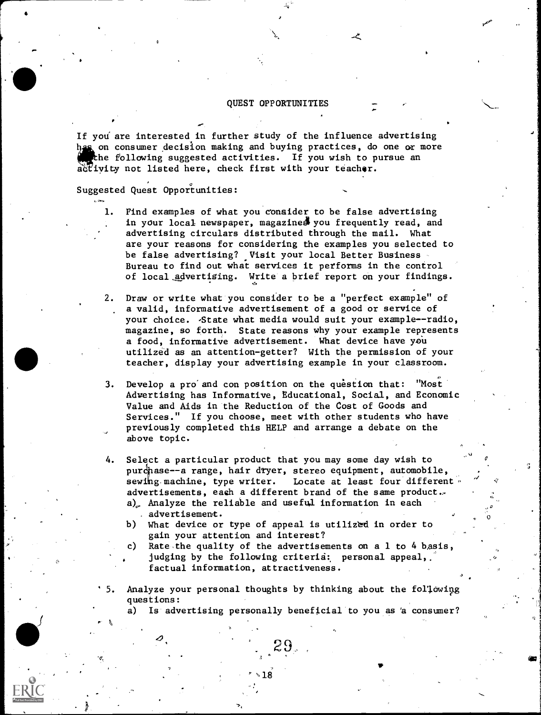#### QUEST OPPORTUNITIES

If you'are interested in further study of the influence advertising has on consumer decision making and buying practices, do one or more he following suggested activities. If you wish to pursue an activity not listed here, check first with your teacher.

#### Suggested Quest Opportunities:

- 1. Find examples of what you consider to be false advertising in your local newspaper, magazines you frequently read, and advertising circulars distributed through the mail. What are your reasons for considering the examples you selected to be false advertising? Visit your local Better Business Bureau to find out what services it performs in the control of local advertising. Write a brief report on your findings. 6
- Draw or write what you consider to be a "perfect example" of a valid, informative advertisement of a good or service of your choice. State what media would suit your example--radio, magazine, so forth. State reasons why your example represents a food, informative advertisement. What device have you utilized as an attention-getter? With the permission of your teacher, display your advertising example in your classroom.
- 3. Develop a pro and con position on the question that: "Most Advertising has Informative, Educational, Social, and Economic Value and Aids in the Reduction of the Cost of Goods and Services." If you choose, meet with other students who have previously completed this HELP and arrange a debate on the above topic.
- 4. Select a particular product that you may some day wish to purchase--a range, hair dryer, stereo equipment, automobile, sewing machine, type writer. Locate at least four different advertisements, each a different brand of the same product. a). Analyze the reliable and useful information in each
	- . advertisement.
	- b) What device or type of appeal is utilized in order to gain your attention and interest?
	- c) Rate the quality of the advertisements on a  $1$  to  $4$  basis,
	- judging by the following criteria: personal appeal,. factual information, attractiveness.
- $\cdot$  5. Analyze your personal thoughts by thinking about the following questions:

29,

a) Is advertising personally beneficial to you as 'a consumer?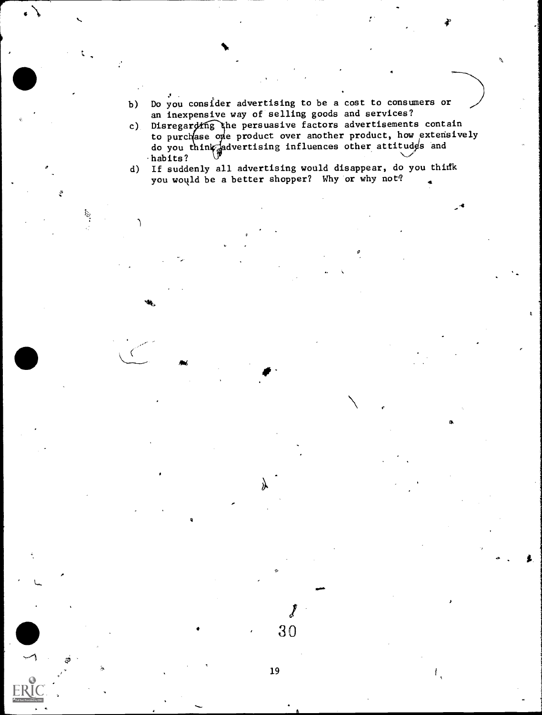b) Do you consider advertising to be a cost to consumers or an inexpensive way of selling goods and services?

 $t_{\rm L}$  such that  $\mathcal{L}$  is the set of  $\mathcal{L}$ 

 $\mathbb{R}$ 

٦

- c) Disregarding the persuasive factors advertisements contain to purchase one product over another product, how extensively do you thing advertising influences other attitudes and habits?
- d) If suddenly all advertising would disappear, do you think you would be a better shopper? Why or why not?

19

30

 $\bar{t}_\chi$